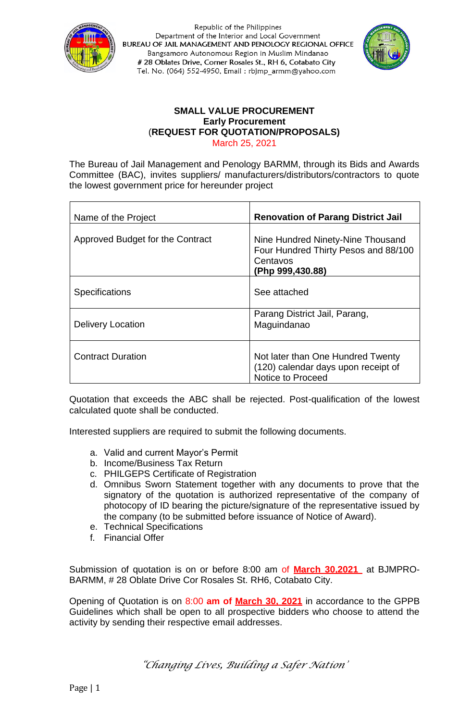



#### **SMALL VALUE PROCUREMENT Early Procurement** (**REQUEST FOR QUOTATION/PROPOSALS)** March 25, 2021

The Bureau of Jail Management and Penology BARMM, through its Bids and Awards Committee (BAC), invites suppliers/ manufacturers/distributors/contractors to quote the lowest government price for hereunder project

| Name of the Project              | <b>Renovation of Parang District Jail</b>                                                                 |
|----------------------------------|-----------------------------------------------------------------------------------------------------------|
| Approved Budget for the Contract | Nine Hundred Ninety-Nine Thousand<br>Four Hundred Thirty Pesos and 88/100<br>Centavos<br>(Php 999,430.88) |
| <b>Specifications</b>            | See attached                                                                                              |
| <b>Delivery Location</b>         | Parang District Jail, Parang,<br>Maguindanao                                                              |
| <b>Contract Duration</b>         | Not later than One Hundred Twenty<br>(120) calendar days upon receipt of<br>Notice to Proceed             |

Quotation that exceeds the ABC shall be rejected. Post-qualification of the lowest calculated quote shall be conducted.

Interested suppliers are required to submit the following documents.

- a. Valid and current Mayor's Permit
- b. Income/Business Tax Return
- c. PHILGEPS Certificate of Registration
- d. Omnibus Sworn Statement together with any documents to prove that the signatory of the quotation is authorized representative of the company of photocopy of ID bearing the picture/signature of the representative issued by the company (to be submitted before issuance of Notice of Award).
- e. Technical Specifications
- f. Financial Offer

Submission of quotation is on or before 8:00 am of **March 30,2021** at BJMPRO-BARMM, # 28 Oblate Drive Cor Rosales St. RH6, Cotabato City.

Opening of Quotation is on 8:00 **am of March 30, 2021** in accordance to the GPPB Guidelines which shall be open to all prospective bidders who choose to attend the activity by sending their respective email addresses.

*"Changing Lives, Building a Safer Nation"*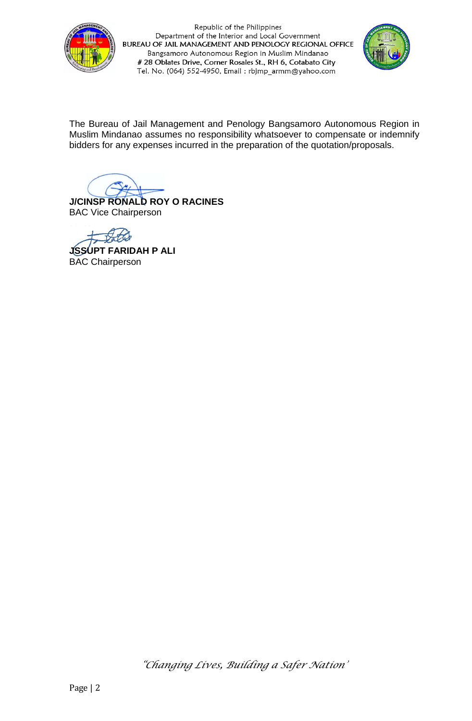



The Bureau of Jail Management and Penology Bangsamoro Autonomous Region in Muslim Mindanao assumes no responsibility whatsoever to compensate or indemnify bidders for any expenses incurred in the preparation of the quotation/proposals.

**J/CINSP RONALD ROY O RACINES** BAC Vice Chairperson

**JSSUPT FARIDAH P ALI** BAC Chairperson

*"Changing Lives, Building a Safer Nation"*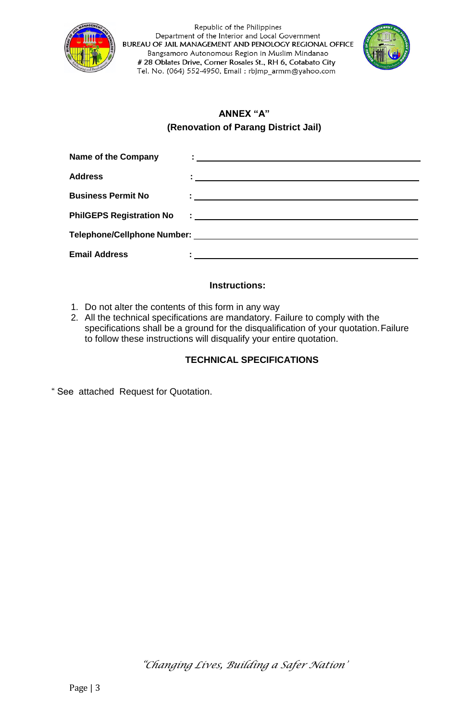



# **ANNEX "A" (Renovation of Parang District Jail)**

| <b>Name of the Company</b>      |                                                                                                                  |
|---------------------------------|------------------------------------------------------------------------------------------------------------------|
| <b>Address</b>                  |                                                                                                                  |
| <b>Business Permit No</b>       | the contract of the contract of the contract of the contract of the contract of the contract of                  |
| <b>PhilGEPS Registration No</b> | <u> 1980 - Andrea Aonaichte ann an Cathracha ann an t-</u>                                                       |
|                                 |                                                                                                                  |
| <b>Email Address</b>            | and the control of the control of the control of the control of the control of the control of the control of the |

### **Instructions:**

- 1. Do not alter the contents of this form in any way
- 2. All the technical specifications are mandatory. Failure to comply with the specifications shall be a ground for the disqualification of your quotation. Failure to follow these instructions will disqualify your entire quotation.

## **TECHNICAL SPECIFICATIONS**

" See attached Request for Quotation.

*"Changing Lives, Building a Safer Nation"*